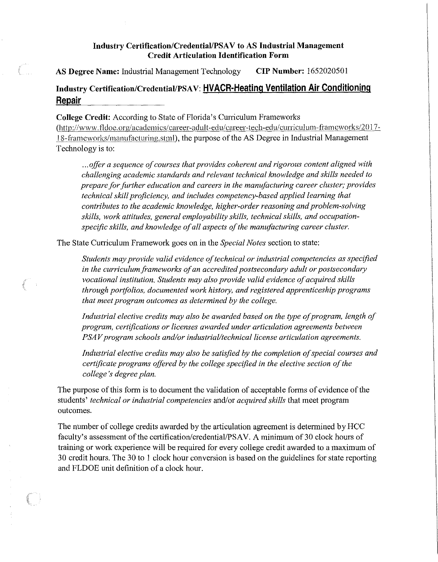## **Industry Certification/Credential/PSA V to AS Industrial Management Credit Articulation Identification Form**

**AS Degree Name:** Industrial Management Technology **CIP Number:** !652020501

## **Industry Certification/Credential/PSA V: HVACR-Heating Ventilation Air Conditioning Repair**

**College Credit:** According to State of Florida's Curriculum Frameworks (http://www.fldoe.org/academics/career-adult-edu/career-tech-edu/curriculum-frameworks/2017-18-frameworks/manufacturing, stml), the purpose of the AS Degree in Industrial Management Technology is to:

... *offer a sequence ofcourses that provides coherent and rigorous content aligned with challenging academic standards and relevant technical knowledge and skills needed to prepare for further education and careers in the mam/facturing career cluster; provides technical skill proficiency, and includes competency-based applied learning that contributes to the academic knowledge, higher-order reasoning and problem-solving skills, work attitudes, general employability skills, technical skills, and occupationspecific skills, and knowledge of all aspects of the manufacturing career cluster.* 

The State Curriculum Framework goes on in the *Special Notes* section to state:

Students may provide valid evidence of technical or industrial competencies as specified in the curriculum frameworks of an accredited postsecondary adult or postsecondary *vocational institution. Students may also provide valid evidence of acquired skills through portfolios, documented work history, and registered apprenticeship programs that meet program outcomes as determined by the college.* 

*Industrial elective credits may also be awarded based on the type of program, length of program, certifications or licenses awarded under articulation agreements between PSAV program schools and/or industrial/technical license articulation agreements.* 

Industrial elective credits may also be satisfied by the completion of special courses and *certificate programs offered by the college specified in the elective section of the college's degree plan.* 

The purpose of this form is to document the validation of acceptable forms of evidence of the students' *technical or industrial competencies* and/or *acquired sldlls* that meet program outcomes.

The number of college credits awarded by the articulation agreement is detennined by HCC faculty's assessment of the certification/credential/PSAV. A minimum of 30 clock hours of training or work experience will be required for every college credit awarded to a maximum of 30 credit hours. The 30 to I clock hour conversion is based on the guidelines for state reporting and FLDOE unit definition of a clock hour.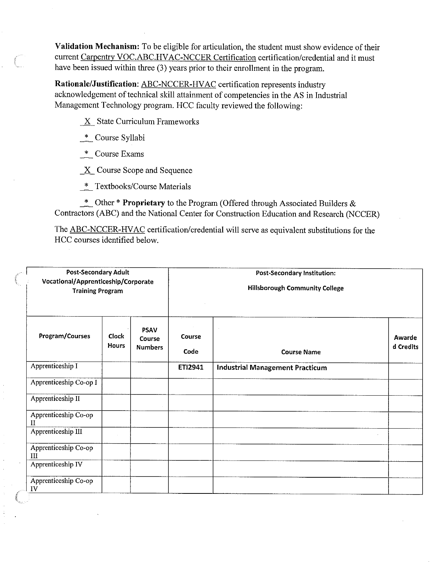**Validation Mechanism:** To be eligible for articulation, the student must show evidence of their current Carpentry VOC.ABC.HVAC-NCCER Certification certification/credential and it must have been issued within three (3) years prior to their enrollment in the program.

**Rationale/Justification:** ABC-NCCER-HVAC certification represents industry acknowledgement of technical skill attainment of competencies in the AS in Industrial Management Technology program. HCC faculty reviewed the following:

*\_\_K\_* State Curriculum Frameworks

\_\*\_ Course Syllabi

 $*$  Course Exams

*\_\_K\_* Course Scope and Sequence

\* Textbooks/Course Materials

\_\*\_ Other \* **Proprietary** to the Program (Offered through Associated Builders & Contractors (ABC) and the National Center for Construction Education and Research (NCCER)

The ABC-NCCER-HVAC certification/credential will serve as equivalent substitutions for the HCC courses identified below.

| <b>Post-Secondary Adult</b><br>Vocational/Apprenticeship/Corporate<br><b>Training Program</b> |                       |                                         | Post-Secondary Institution:<br><b>Hillsborough Community College</b> |                                        |                     |  |
|-----------------------------------------------------------------------------------------------|-----------------------|-----------------------------------------|----------------------------------------------------------------------|----------------------------------------|---------------------|--|
| Program/Courses                                                                               | <b>Clock</b><br>Hours | <b>PSAV</b><br>Course<br><b>Numbers</b> | <b>Course</b><br>Code                                                | <b>Course Name</b>                     | Awarde<br>d Credits |  |
| Apprenticeship I                                                                              |                       |                                         | ETI2941                                                              | <b>Industrial Management Practicum</b> |                     |  |
| Apprenticeship Co-op I                                                                        |                       |                                         |                                                                      |                                        |                     |  |
| Apprenticeship II                                                                             |                       |                                         |                                                                      |                                        |                     |  |
| Apprenticeship Co-op<br>Н                                                                     |                       |                                         |                                                                      |                                        |                     |  |
| Apprenticeship III                                                                            |                       |                                         |                                                                      |                                        |                     |  |
| Apprenticeship Co-op<br>III                                                                   |                       |                                         |                                                                      |                                        |                     |  |
| Apprenticeship IV                                                                             |                       |                                         |                                                                      |                                        |                     |  |
| Apprenticeship Co-op<br>IV                                                                    |                       |                                         |                                                                      |                                        |                     |  |